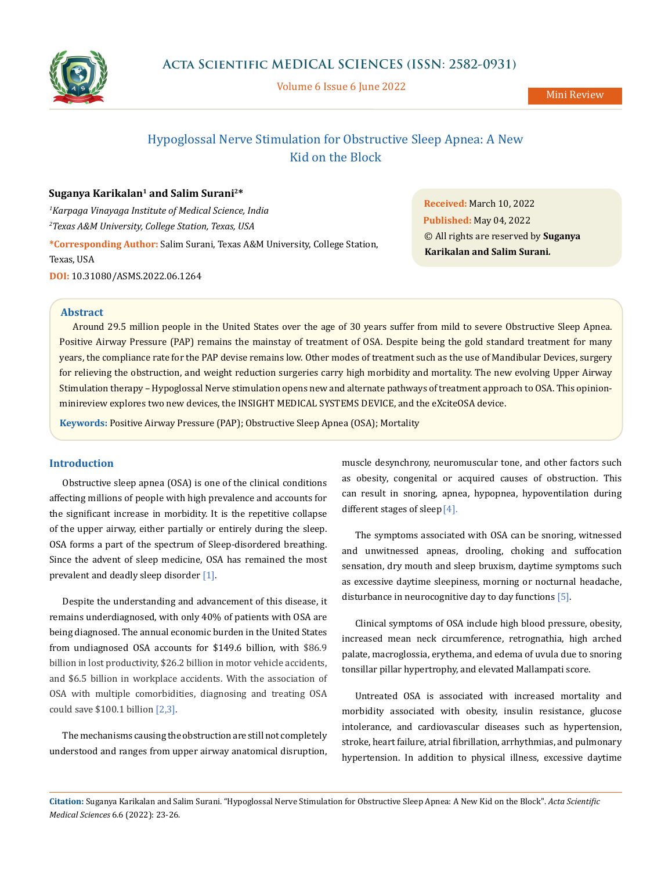

Volume 6 Issue 6 June 2022

Mini Review

# Hypoglossal Nerve Stimulation for Obstructive Sleep Apnea: A New Kid on the Block

## **Suganya Karikalan1 and Salim Surani2\***

*1 Karpaga Vinayaga Institute of Medical Science, India 2 Texas A&M University, College Station, Texas, USA* **\*Corresponding Author:** Salim Surani, Texas A&M University, College Station, Texas, USA **DOI:** [10.31080/ASMS.2022.06.126](http://actascientific.com/ASMS/pdf/ASMS-06-1264.pdf)4

**Received:** March 10, 2022 **Published:** May 04, 2022 © All rights are reserved by **Suganya Karikalan and Salim Surani***.*

## **Abstract**

Around 29.5 million people in the United States over the age of 30 years suffer from mild to severe Obstructive Sleep Apnea. Positive Airway Pressure (PAP) remains the mainstay of treatment of OSA. Despite being the gold standard treatment for many years, the compliance rate for the PAP devise remains low. Other modes of treatment such as the use of Mandibular Devices, surgery for relieving the obstruction, and weight reduction surgeries carry high morbidity and mortality. The new evolving Upper Airway Stimulation therapy – Hypoglossal Nerve stimulation opens new and alternate pathways of treatment approach to OSA. This opinionminireview explores two new devices, the INSIGHT MEDICAL SYSTEMS DEVICE, and the eXciteOSA device.

**Keywords:** Positive Airway Pressure (PAP); Obstructive Sleep Apnea (OSA); Mortality

## **Introduction**

Obstructive sleep apnea (OSA) is one of the clinical conditions affecting millions of people with high prevalence and accounts for the significant increase in morbidity. It is the repetitive collapse of the upper airway, either partially or entirely during the sleep. OSA forms a part of the spectrum of Sleep-disordered breathing. Since the advent of sleep medicine, OSA has remained the most prevalent and deadly sleep disorder [1].

Despite the understanding and advancement of this disease, it remains underdiagnosed, with only 40% of patients with OSA are being diagnosed. The annual economic burden in the United States from undiagnosed OSA accounts for \$149.6 billion, with \$86.9 billion in lost productivity, \$26.2 billion in motor vehicle accidents, and \$6.5 billion in workplace accidents. With the association of OSA with multiple comorbidities, diagnosing and treating OSA could save \$100.1 billion [2,3].

The mechanisms causing the obstruction are still not completely understood and ranges from upper airway anatomical disruption,

muscle desynchrony, neuromuscular tone, and other factors such as obesity, congenital or acquired causes of obstruction. This can result in snoring, apnea, hypopnea, hypoventilation during different stages of sleep [4].

The symptoms associated with OSA can be snoring, witnessed and unwitnessed apneas, drooling, choking and suffocation sensation, dry mouth and sleep bruxism, daytime symptoms such as excessive daytime sleepiness, morning or nocturnal headache, disturbance in neurocognitive day to day functions [5].

Clinical symptoms of OSA include high blood pressure, obesity, increased mean neck circumference, retrognathia, high arched palate, macroglossia, erythema, and edema of uvula due to snoring tonsillar pillar hypertrophy, and elevated Mallampati score.

Untreated OSA is associated with increased mortality and morbidity associated with obesity, insulin resistance, glucose intolerance, and cardiovascular diseases such as hypertension, stroke, heart failure, atrial fibrillation, arrhythmias, and pulmonary hypertension. In addition to physical illness, excessive daytime

**Citation:** Suganya Karikalan and Salim Surani*.* "Hypoglossal Nerve Stimulation for Obstructive Sleep Apnea: A New Kid on the Block". *Acta Scientific Medical Sciences* 6.6 (2022): 23-26.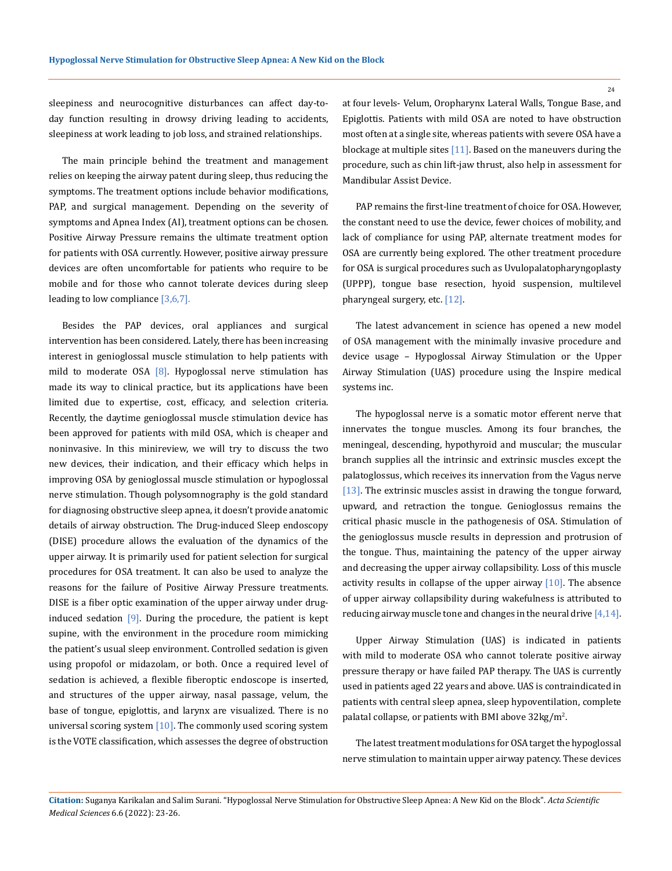sleepiness and neurocognitive disturbances can affect day-today function resulting in drowsy driving leading to accidents, sleepiness at work leading to job loss, and strained relationships.

The main principle behind the treatment and management relies on keeping the airway patent during sleep, thus reducing the symptoms. The treatment options include behavior modifications, PAP, and surgical management. Depending on the severity of symptoms and Apnea Index (AI), treatment options can be chosen. Positive Airway Pressure remains the ultimate treatment option for patients with OSA currently. However, positive airway pressure devices are often uncomfortable for patients who require to be mobile and for those who cannot tolerate devices during sleep leading to low compliance  $[3,6,7]$ .

Besides the PAP devices, oral appliances and surgical intervention has been considered. Lately, there has been increasing interest in genioglossal muscle stimulation to help patients with mild to moderate OSA  $[8]$ . Hypoglossal nerve stimulation has made its way to clinical practice, but its applications have been limited due to expertise, cost, efficacy, and selection criteria. Recently, the daytime genioglossal muscle stimulation device has been approved for patients with mild OSA, which is cheaper and noninvasive. In this minireview, we will try to discuss the two new devices, their indication, and their efficacy which helps in improving OSA by genioglossal muscle stimulation or hypoglossal nerve stimulation. Though polysomnography is the gold standard for diagnosing obstructive sleep apnea, it doesn't provide anatomic details of airway obstruction. The Drug-induced Sleep endoscopy (DISE) procedure allows the evaluation of the dynamics of the upper airway. It is primarily used for patient selection for surgical procedures for OSA treatment. It can also be used to analyze the reasons for the failure of Positive Airway Pressure treatments. DISE is a fiber optic examination of the upper airway under druginduced sedation  $[9]$ . During the procedure, the patient is kept supine, with the environment in the procedure room mimicking the patient's usual sleep environment. Controlled sedation is given using propofol or midazolam, or both. Once a required level of sedation is achieved, a flexible fiberoptic endoscope is inserted, and structures of the upper airway, nasal passage, velum, the base of tongue, epiglottis, and larynx are visualized. There is no universal scoring system  $[10]$ . The commonly used scoring system is the VOTE classification, which assesses the degree of obstruction

at four levels- Velum, Oropharynx Lateral Walls, Tongue Base, and Epiglottis. Patients with mild OSA are noted to have obstruction most often at a single site, whereas patients with severe OSA have a blockage at multiple sites [11]. Based on the maneuvers during the procedure, such as chin lift-jaw thrust, also help in assessment for Mandibular Assist Device.

PAP remains the first-line treatment of choice for OSA. However, the constant need to use the device, fewer choices of mobility, and lack of compliance for using PAP, alternate treatment modes for OSA are currently being explored. The other treatment procedure for OSA is surgical procedures such as Uvulopalatopharyngoplasty (UPPP), tongue base resection, hyoid suspension, multilevel pharyngeal surgery, etc. [12].

The latest advancement in science has opened a new model of OSA management with the minimally invasive procedure and device usage – Hypoglossal Airway Stimulation or the Upper Airway Stimulation (UAS) procedure using the Inspire medical systems inc.

The hypoglossal nerve is a somatic motor efferent nerve that innervates the tongue muscles. Among its four branches, the meningeal, descending, hypothyroid and muscular; the muscular branch supplies all the intrinsic and extrinsic muscles except the palatoglossus, which receives its innervation from the Vagus nerve [13]. The extrinsic muscles assist in drawing the tongue forward, upward, and retraction the tongue. Genioglossus remains the critical phasic muscle in the pathogenesis of OSA. Stimulation of the genioglossus muscle results in depression and protrusion of the tongue. Thus, maintaining the patency of the upper airway and decreasing the upper airway collapsibility. Loss of this muscle activity results in collapse of the upper airway  $[10]$ . The absence of upper airway collapsibility during wakefulness is attributed to reducing airway muscle tone and changes in the neural drive  $[4,14]$ .

Upper Airway Stimulation (UAS) is indicated in patients with mild to moderate OSA who cannot tolerate positive airway pressure therapy or have failed PAP therapy. The UAS is currently used in patients aged 22 years and above. UAS is contraindicated in patients with central sleep apnea, sleep hypoventilation, complete palatal collapse, or patients with BMI above  $32\text{kg}/\text{m}^2$ .

The latest treatment modulations for OSA target the hypoglossal nerve stimulation to maintain upper airway patency. These devices

24

**Citation:** Suganya Karikalan and Salim Surani*.* "Hypoglossal Nerve Stimulation for Obstructive Sleep Apnea: A New Kid on the Block". *Acta Scientific Medical Sciences* 6.6 (2022): 23-26.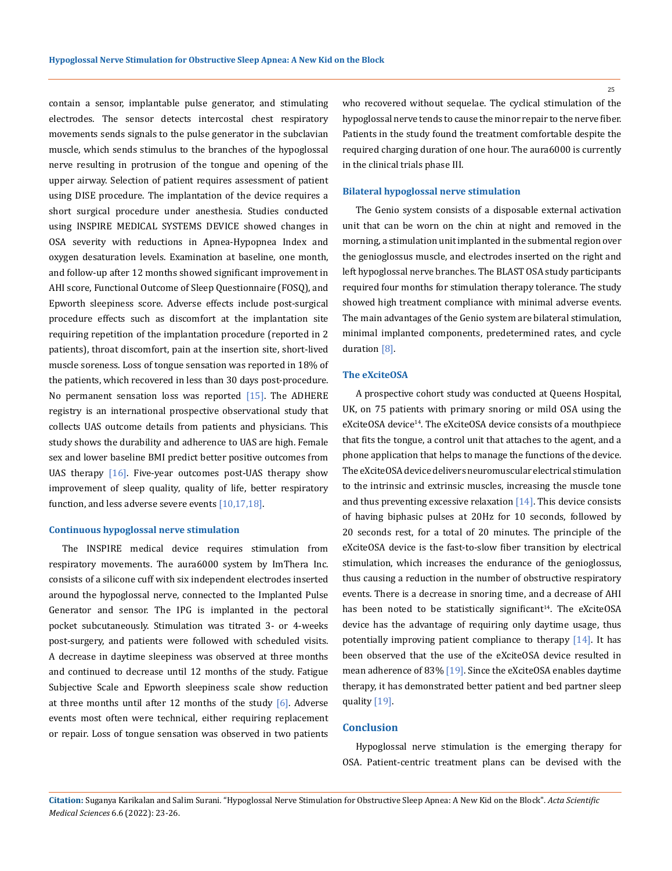contain a sensor, implantable pulse generator, and stimulating electrodes. The sensor detects intercostal chest respiratory movements sends signals to the pulse generator in the subclavian muscle, which sends stimulus to the branches of the hypoglossal nerve resulting in protrusion of the tongue and opening of the upper airway. Selection of patient requires assessment of patient using DISE procedure. The implantation of the device requires a short surgical procedure under anesthesia. Studies conducted using INSPIRE MEDICAL SYSTEMS DEVICE showed changes in OSA severity with reductions in Apnea-Hypopnea Index and oxygen desaturation levels. Examination at baseline, one month, and follow-up after 12 months showed significant improvement in AHI score, Functional Outcome of Sleep Questionnaire (FOSQ), and Epworth sleepiness score. Adverse effects include post-surgical procedure effects such as discomfort at the implantation site requiring repetition of the implantation procedure (reported in 2 patients), throat discomfort, pain at the insertion site, short-lived muscle soreness. Loss of tongue sensation was reported in 18% of the patients, which recovered in less than 30 days post-procedure. No permanent sensation loss was reported  $[15]$ . The ADHERE registry is an international prospective observational study that collects UAS outcome details from patients and physicians. This study shows the durability and adherence to UAS are high. Female sex and lower baseline BMI predict better positive outcomes from UAS therapy  $[16]$ . Five-year outcomes post-UAS therapy show improvement of sleep quality, quality of life, better respiratory function, and less adverse severe events [10,17,18].

#### **Continuous hypoglossal nerve stimulation**

The INSPIRE medical device requires stimulation from respiratory movements. The aura6000 system by ImThera Inc. consists of a silicone cuff with six independent electrodes inserted around the hypoglossal nerve, connected to the Implanted Pulse Generator and sensor. The IPG is implanted in the pectoral pocket subcutaneously. Stimulation was titrated 3- or 4-weeks post-surgery, and patients were followed with scheduled visits. A decrease in daytime sleepiness was observed at three months and continued to decrease until 12 months of the study. Fatigue Subjective Scale and Epworth sleepiness scale show reduction at three months until after 12 months of the study  $[6]$ . Adverse events most often were technical, either requiring replacement or repair. Loss of tongue sensation was observed in two patients

who recovered without sequelae. The cyclical stimulation of the hypoglossal nerve tends to cause the minor repair to the nerve fiber. Patients in the study found the treatment comfortable despite the required charging duration of one hour. The aura6000 is currently

#### **Bilateral hypoglossal nerve stimulation**

in the clinical trials phase III.

The Genio system consists of a disposable external activation unit that can be worn on the chin at night and removed in the morning, a stimulation unit implanted in the submental region over the genioglossus muscle, and electrodes inserted on the right and left hypoglossal nerve branches. The BLAST OSA study participants required four months for stimulation therapy tolerance. The study showed high treatment compliance with minimal adverse events. The main advantages of the Genio system are bilateral stimulation, minimal implanted components, predetermined rates, and cycle duration [8].

#### **The eXciteOSA**

A prospective cohort study was conducted at Queens Hospital, UK, on 75 patients with primary snoring or mild OSA using the eXciteOSA device<sup>14</sup>. The eXciteOSA device consists of a mouthpiece that fits the tongue, a control unit that attaches to the agent, and a phone application that helps to manage the functions of the device. The eXciteOSA device delivers neuromuscular electrical stimulation to the intrinsic and extrinsic muscles, increasing the muscle tone and thus preventing excessive relaxation [14]. This device consists of having biphasic pulses at 20Hz for 10 seconds, followed by 20 seconds rest, for a total of 20 minutes. The principle of the eXciteOSA device is the fast-to-slow fiber transition by electrical stimulation, which increases the endurance of the genioglossus, thus causing a reduction in the number of obstructive respiratory events. There is a decrease in snoring time, and a decrease of AHI has been noted to be statistically significant<sup>14</sup>. The eXciteOSA device has the advantage of requiring only daytime usage, thus potentially improving patient compliance to therapy [14]. It has been observed that the use of the eXciteOSA device resulted in mean adherence of 83% [19]. Since the eXciteOSA enables daytime therapy, it has demonstrated better patient and bed partner sleep quality [19].

#### **Conclusion**

Hypoglossal nerve stimulation is the emerging therapy for OSA. Patient-centric treatment plans can be devised with the

25

**Citation:** Suganya Karikalan and Salim Surani*.* "Hypoglossal Nerve Stimulation for Obstructive Sleep Apnea: A New Kid on the Block". *Acta Scientific Medical Sciences* 6.6 (2022): 23-26.